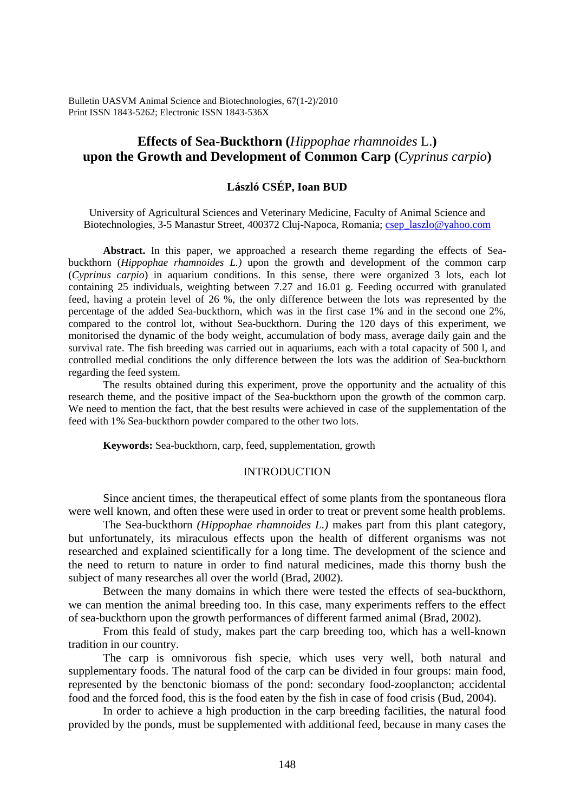Bulletin UASVM Animal Science and Biotechnologies, 67(1-2)/2010 Print ISSN 1843-5262; Electronic ISSN 1843-536X

# **Effects of Sea-Buckthorn (***Hippophae rhamnoides* L.**) upon the Growth and Development of Common Carp (***Cyprinus carpio***)**

## **László CSÉP, Ioan BUD**

University of Agricultural Sciences and Veterinary Medicine, Faculty of Animal Science and Biotechnologies, 3-5 Manastur Street, 400372 Cluj-Napoca, Romania; csep\_laszlo@yahoo.com

**Abstract.** In this paper, we approached a research theme regarding the effects of Seabuckthorn (*Hippophae rhamnoides L.)* upon the growth and development of the common carp (*Cyprinus carpio*) in aquarium conditions. In this sense, there were organized 3 lots, each lot containing 25 individuals, weighting between 7.27 and 16.01 g. Feeding occurred with granulated feed, having a protein level of 26 %, the only difference between the lots was represented by the percentage of the added Sea-buckthorn, which was in the first case 1% and in the second one 2%, compared to the control lot, without Sea-buckthorn. During the 120 days of this experiment, we monitorised the dynamic of the body weight, accumulation of body mass, average daily gain and the survival rate. The fish breeding was carried out in aquariums, each with a total capacity of 500 l, and controlled medial conditions the only difference between the lots was the addition of Sea-buckthorn regarding the feed system.

The results obtained during this experiment, prove the opportunity and the actuality of this research theme, and the positive impact of the Sea-buckthorn upon the growth of the common carp. We need to mention the fact, that the best results were achieved in case of the supplementation of the feed with 1% Sea-buckthorn powder compared to the other two lots.

**Keywords:** Sea-buckthorn, carp, feed, supplementation, growth

## **INTRODUCTION**

Since ancient times, the therapeutical effect of some plants from the spontaneous flora were well known, and often these were used in order to treat or prevent some health problems.

The Sea-buckthorn *(Hippophae rhamnoides L.)* makes part from this plant category, but unfortunately, its miraculous effects upon the health of different organisms was not researched and explained scientifically for a long time. The development of the science and the need to return to nature in order to find natural medicines, made this thorny bush the subject of many researches all over the world (Brad, 2002).

Between the many domains in which there were tested the effects of sea-buckthorn, we can mention the animal breeding too. In this case, many experiments reffers to the effect of sea-buckthorn upon the growth performances of different farmed animal (Brad, 2002).

From this feald of study, makes part the carp breeding too, which has a well-known tradition in our country.

The carp is omnivorous fish specie, which uses very well, both natural and supplementary foods. The natural food of the carp can be divided in four groups: main food, represented by the benctonic biomass of the pond: secondary food-zooplancton; accidental food and the forced food, this is the food eaten by the fish in case of food crisis (Bud, 2004).

In order to achieve a high production in the carp breeding facilities, the natural food provided by the ponds, must be supplemented with additional feed, because in many cases the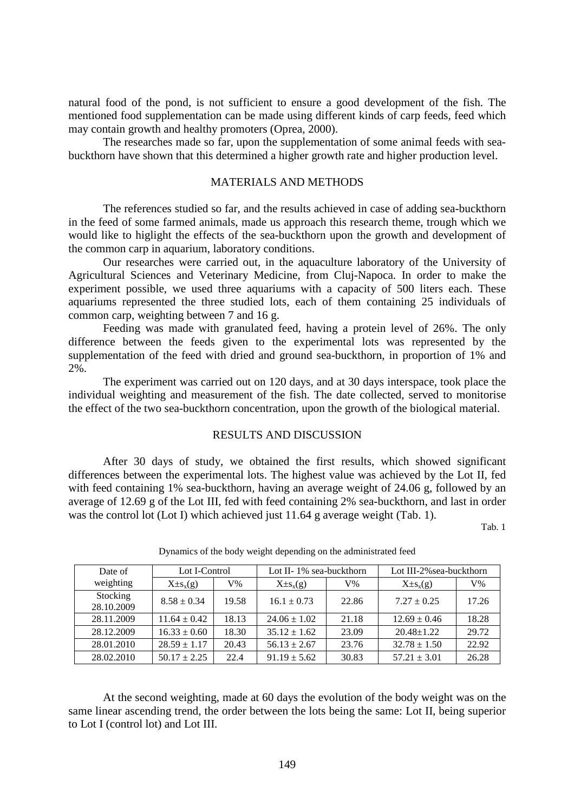natural food of the pond, is not sufficient to ensure a good development of the fish. The mentioned food supplementation can be made using different kinds of carp feeds, feed which may contain growth and healthy promoters (Oprea, 2000).

The researches made so far, upon the supplementation of some animal feeds with seabuckthorn have shown that this determined a higher growth rate and higher production level.

#### MATERIALS AND METHODS

The references studied so far, and the results achieved in case of adding sea-buckthorn in the feed of some farmed animals, made us approach this research theme, trough which we would like to higlight the effects of the sea-buckthorn upon the growth and development of the common carp in aquarium, laboratory conditions.

Our researches were carried out, in the aquaculture laboratory of the University of Agricultural Sciences and Veterinary Medicine, from Cluj-Napoca. In order to make the experiment possible, we used three aquariums with a capacity of 500 liters each. These aquariums represented the three studied lots, each of them containing 25 individuals of common carp, weighting between 7 and 16 g.

Feeding was made with granulated feed, having a protein level of 26%. The only difference between the feeds given to the experimental lots was represented by the supplementation of the feed with dried and ground sea-buckthorn, in proportion of 1% and 2%.

The experiment was carried out on 120 days, and at 30 days interspace, took place the individual weighting and measurement of the fish. The date collected, served to monitorise the effect of the two sea-buckthorn concentration, upon the growth of the biological material.

## RESULTS AND DISCUSSION

After 30 days of study, we obtained the first results, which showed significant differences between the experimental lots. The highest value was achieved by the Lot II, fed with feed containing 1% sea-buckthorn, having an average weight of 24.06 g, followed by an average of 12.69 g of the Lot III, fed with feed containing 2% sea-buckthorn, and last in order was the control lot (Lot I) which achieved just 11.64 g average weight (Tab. 1).

Tab. 1

| Date of<br>weighting   | Lot I-Control    |       | Lot II-1% sea-buckthorn |       | Lot III-2% sea-buckthorn |       |
|------------------------|------------------|-------|-------------------------|-------|--------------------------|-------|
|                        | $X \pm s_{x}(g)$ | V%    | $X \pm s_x(g)$          | $V\%$ | $X \pm s_x(g)$           | V%    |
| Stocking<br>28.10.2009 | $8.58 \pm 0.34$  | 19.58 | $16.1 \pm 0.73$         | 22.86 | $7.27 \pm 0.25$          | 17.26 |
| 28.11.2009             | $11.64 \pm 0.42$ | 18.13 | $24.06 \pm 1.02$        | 21.18 | $12.69 \pm 0.46$         | 18.28 |
| 28.12.2009             | $16.33 \pm 0.60$ | 18.30 | $35.12 \pm 1.62$        | 23.09 | $20.48 \pm 1.22$         | 29.72 |
| 28.01.2010             | $28.59 \pm 1.17$ | 20.43 | $56.13 \pm 2.67$        | 23.76 | $32.78 \pm 1.50$         | 22.92 |
| 28.02.2010             | $50.17 \pm 2.25$ | 22.4  | $91.19 + 5.62$          | 30.83 | $57.21 + 3.01$           | 26.28 |

Dynamics of the body weight depending on the administrated feed

At the second weighting, made at 60 days the evolution of the body weight was on the same linear ascending trend, the order between the lots being the same: Lot II, being superior to Lot I (control lot) and Lot III.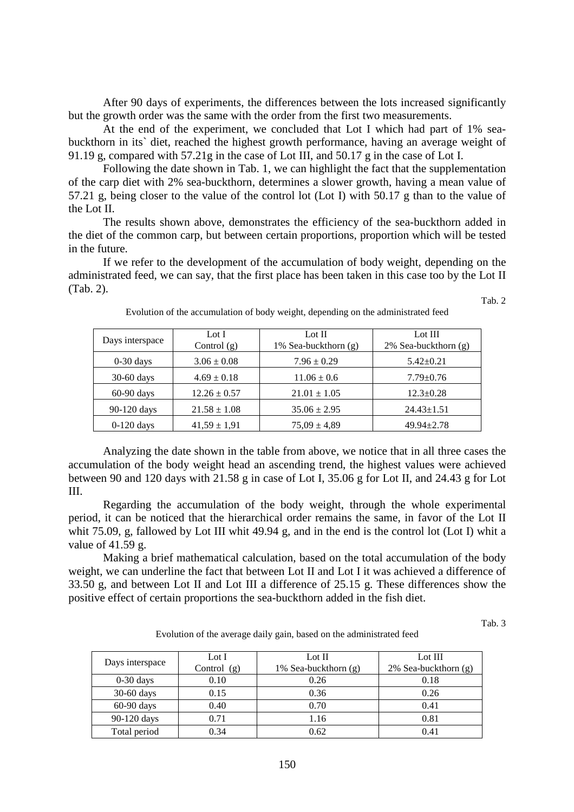After 90 days of experiments, the differences between the lots increased significantly but the growth order was the same with the order from the first two measurements.

At the end of the experiment, we concluded that Lot I which had part of 1% seabuckthorn in its` diet, reached the highest growth performance, having an average weight of 91.19 g, compared with 57.21g in the case of Lot III, and 50.17 g in the case of Lot I.

Following the date shown in Tab. 1, we can highlight the fact that the supplementation of the carp diet with 2% sea-buckthorn, determines a slower growth, having a mean value of 57.21 g, being closer to the value of the control lot (Lot I) with 50.17 g than to the value of the Lot II.

The results shown above, demonstrates the efficiency of the sea-buckthorn added in the diet of the common carp, but between certain proportions, proportion which will be tested in the future.

If we refer to the development of the accumulation of body weight, depending on the administrated feed, we can say, that the first place has been taken in this case too by the Lot II (Tab. 2).

Tab. 2

| Days interspace | Lot I<br>Control $(g)$ | Lot $\Pi$<br>1% Sea-buckthorn (g) | Lot III<br>$2\%$ Sea-buckthorn $(g)$ |  |
|-----------------|------------------------|-----------------------------------|--------------------------------------|--|
| $0-30$ days     | $3.06 \pm 0.08$        | $7.96 \pm 0.29$                   | $5.42 \pm 0.21$                      |  |
| $30-60$ days    | $4.69 \pm 0.18$        | $11.06 \pm 0.6$                   | $7.79 \pm 0.76$                      |  |
| $60-90$ days    | $12.26 \pm 0.57$       | $21.01 \pm 1.05$                  | $12.3 \pm 0.28$                      |  |
| 90-120 days     | $21.58 \pm 1.08$       | $35.06 \pm 2.95$                  | $24.43 \pm 1.51$                     |  |
| $0-120$ days    | $41,59 \pm 1,91$       | $75.09 \pm 4.89$                  | $49.94 \pm 2.78$                     |  |

| Evolution of the accumulation of body weight, depending on the administrated feed |
|-----------------------------------------------------------------------------------|
|-----------------------------------------------------------------------------------|

Analyzing the date shown in the table from above, we notice that in all three cases the accumulation of the body weight head an ascending trend, the highest values were achieved between 90 and 120 days with 21.58 g in case of Lot I, 35.06 g for Lot II, and 24.43 g for Lot III.

Regarding the accumulation of the body weight, through the whole experimental period, it can be noticed that the hierarchical order remains the same, in favor of the Lot II whit 75.09, g, fallowed by Lot III whit 49.94 g, and in the end is the control lot (Lot I) whit a value of 41.59 g.

Making a brief mathematical calculation, based on the total accumulation of the body weight, we can underline the fact that between Lot II and Lot I it was achieved a difference of 33.50 g, and between Lot II and Lot III a difference of 25.15 g. These differences show the positive effect of certain proportions the sea-buckthorn added in the fish diet.

Tab. 3

Evolution of the average daily gain, based on the administrated feed

| Days interspace | Lot $I$       | Lot $II$             | Lot III                   |  |
|-----------------|---------------|----------------------|---------------------------|--|
|                 | Control $(g)$ | 1% Sea-buckthorn (g) | $2\%$ Sea-buckthorn $(g)$ |  |
| $0-30$ days     | 0.10          | 0.26                 | 0.18                      |  |
| 30-60 days      | 0.15          | 0.36                 | 0.26                      |  |
| $60-90$ days    | 0.40          | 0.70                 | 0.41                      |  |
| 90-120 days     | 0.71          | 1.16                 | 0.81                      |  |
| Total period    | 0.34          | 0.62                 | 0.41                      |  |